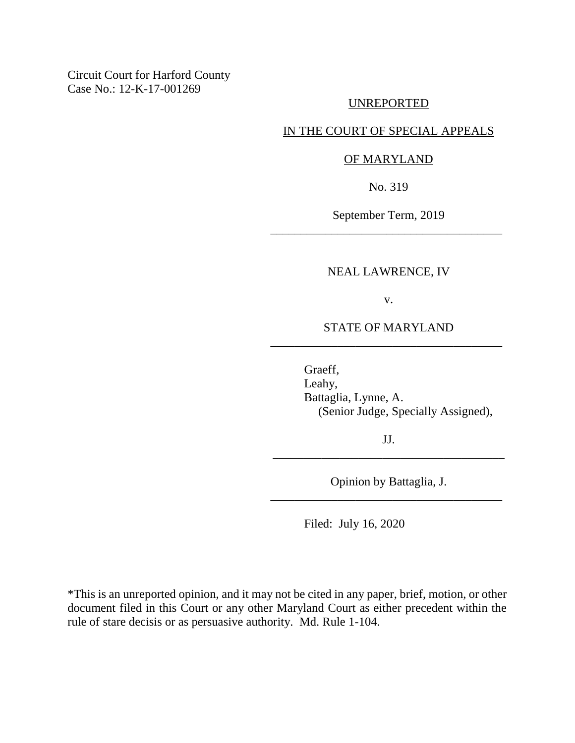Circuit Court for Harford County Case No.: 12-K-17-001269

### UNREPORTED

### IN THE COURT OF SPECIAL APPEALS

#### OF MARYLAND

No. 319

September Term, 2019 \_\_\_\_\_\_\_\_\_\_\_\_\_\_\_\_\_\_\_\_\_\_\_\_\_\_\_\_\_\_\_\_\_\_\_\_\_\_

#### NEAL LAWRENCE, IV

v.

## STATE OF MARYLAND \_\_\_\_\_\_\_\_\_\_\_\_\_\_\_\_\_\_\_\_\_\_\_\_\_\_\_\_\_\_\_\_\_\_\_\_\_\_

Graeff, Leahy, Battaglia, Lynne, A. (Senior Judge, Specially Assigned),

JJ. \_\_\_\_\_\_\_\_\_\_\_\_\_\_\_\_\_\_\_\_\_\_\_\_\_\_\_\_\_\_\_\_\_\_\_\_\_\_

Opinion by Battaglia, J. \_\_\_\_\_\_\_\_\_\_\_\_\_\_\_\_\_\_\_\_\_\_\_\_\_\_\_\_\_\_\_\_\_\_\_\_\_\_

Filed: July 16, 2020

\*This is an unreported opinion, and it may not be cited in any paper, brief, motion, or other document filed in this Court or any other Maryland Court as either precedent within the rule of stare decisis or as persuasive authority. Md. Rule 1-104.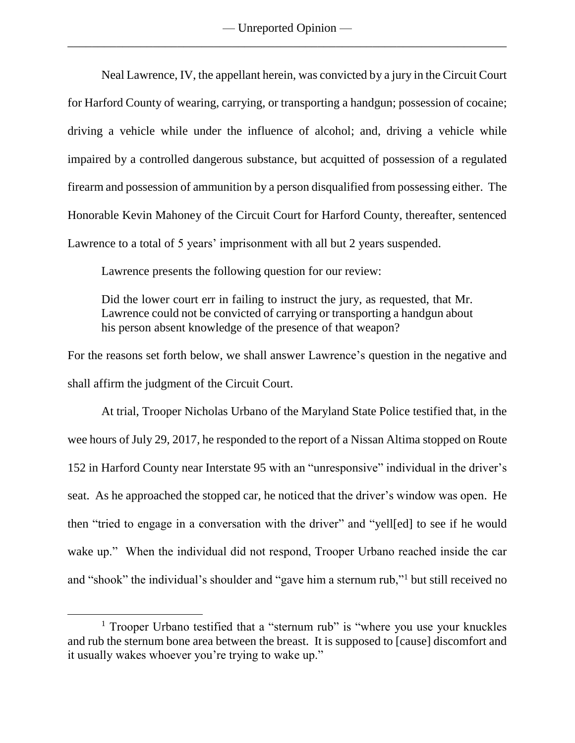Neal Lawrence, IV, the appellant herein, was convicted by a jury in the Circuit Court for Harford County of wearing, carrying, or transporting a handgun; possession of cocaine; driving a vehicle while under the influence of alcohol; and, driving a vehicle while impaired by a controlled dangerous substance, but acquitted of possession of a regulated firearm and possession of ammunition by a person disqualified from possessing either. The Honorable Kevin Mahoney of the Circuit Court for Harford County, thereafter, sentenced Lawrence to a total of 5 years' imprisonment with all but 2 years suspended.

Lawrence presents the following question for our review:

Did the lower court err in failing to instruct the jury, as requested, that Mr. Lawrence could not be convicted of carrying or transporting a handgun about his person absent knowledge of the presence of that weapon?

For the reasons set forth below, we shall answer Lawrence's question in the negative and shall affirm the judgment of the Circuit Court.

At trial, Trooper Nicholas Urbano of the Maryland State Police testified that, in the wee hours of July 29, 2017, he responded to the report of a Nissan Altima stopped on Route 152 in Harford County near Interstate 95 with an "unresponsive" individual in the driver's seat. As he approached the stopped car, he noticed that the driver's window was open. He then "tried to engage in a conversation with the driver" and "yell[ed] to see if he would wake up." When the individual did not respond, Trooper Urbano reached inside the car and "shook" the individual's shoulder and "gave him a sternum rub,"<sup>1</sup> but still received no

<sup>&</sup>lt;sup>1</sup> Trooper Urbano testified that a "sternum rub" is "where you use your knuckles and rub the sternum bone area between the breast. It is supposed to [cause] discomfort and it usually wakes whoever you're trying to wake up."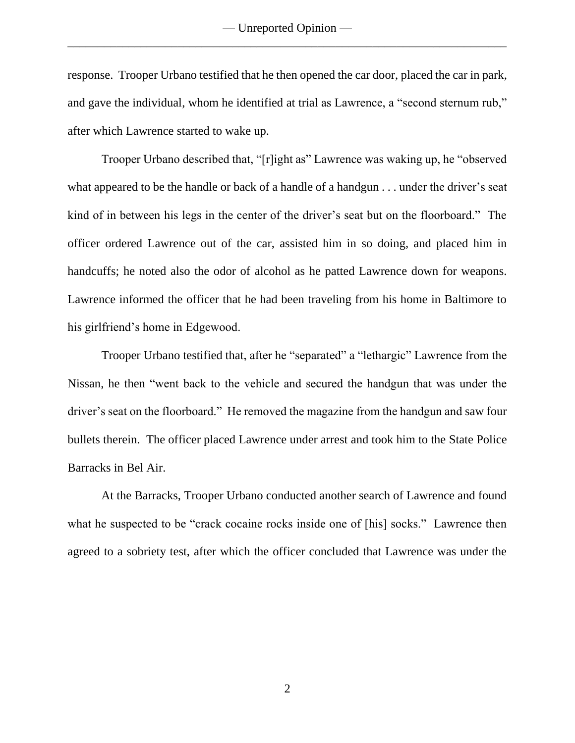response. Trooper Urbano testified that he then opened the car door, placed the car in park, and gave the individual, whom he identified at trial as Lawrence, a "second sternum rub," after which Lawrence started to wake up.

Trooper Urbano described that, "[r]ight as" Lawrence was waking up, he "observed what appeared to be the handle or back of a handle of a handgun . . . under the driver's seat kind of in between his legs in the center of the driver's seat but on the floorboard." The officer ordered Lawrence out of the car, assisted him in so doing, and placed him in handcuffs; he noted also the odor of alcohol as he patted Lawrence down for weapons. Lawrence informed the officer that he had been traveling from his home in Baltimore to his girlfriend's home in Edgewood.

Trooper Urbano testified that, after he "separated" a "lethargic" Lawrence from the Nissan, he then "went back to the vehicle and secured the handgun that was under the driver's seat on the floorboard." He removed the magazine from the handgun and saw four bullets therein. The officer placed Lawrence under arrest and took him to the State Police Barracks in Bel Air.

At the Barracks, Trooper Urbano conducted another search of Lawrence and found what he suspected to be "crack cocaine rocks inside one of [his] socks." Lawrence then agreed to a sobriety test, after which the officer concluded that Lawrence was under the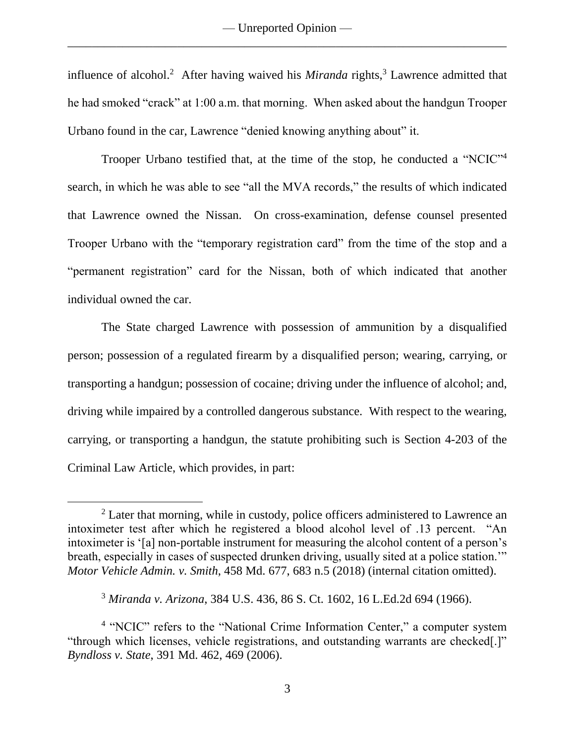influence of alcohol.<sup>2</sup> After having waived his *Miranda* rights,<sup>3</sup> Lawrence admitted that he had smoked "crack" at 1:00 a.m. that morning. When asked about the handgun Trooper Urbano found in the car, Lawrence "denied knowing anything about" it.

Trooper Urbano testified that, at the time of the stop, he conducted a "NCIC"<sup>4</sup> search, in which he was able to see "all the MVA records," the results of which indicated that Lawrence owned the Nissan. On cross-examination, defense counsel presented Trooper Urbano with the "temporary registration card" from the time of the stop and a "permanent registration" card for the Nissan, both of which indicated that another individual owned the car.

The State charged Lawrence with possession of ammunition by a disqualified person; possession of a regulated firearm by a disqualified person; wearing, carrying, or transporting a handgun; possession of cocaine; driving under the influence of alcohol; and, driving while impaired by a controlled dangerous substance. With respect to the wearing, carrying, or transporting a handgun, the statute prohibiting such is Section 4-203 of the Criminal Law Article, which provides, in part:

<sup>&</sup>lt;sup>2</sup> Later that morning, while in custody, police officers administered to Lawrence an intoximeter test after which he registered a blood alcohol level of .13 percent. "An intoximeter is '[a] non-portable instrument for measuring the alcohol content of a person's breath, especially in cases of suspected drunken driving, usually sited at a police station.'" *Motor Vehicle Admin. v. Smith*, 458 Md. 677, 683 n.5 (2018) (internal citation omitted).

<sup>3</sup> *Miranda v. Arizona*, 384 U.S. 436, 86 S. Ct. 1602, 16 L.Ed.2d 694 (1966).

<sup>&</sup>lt;sup>4</sup> "NCIC" refers to the "National Crime Information Center," a computer system "through which licenses, vehicle registrations, and outstanding warrants are checked[.]" *Byndloss v. State*, 391 Md. 462, 469 (2006).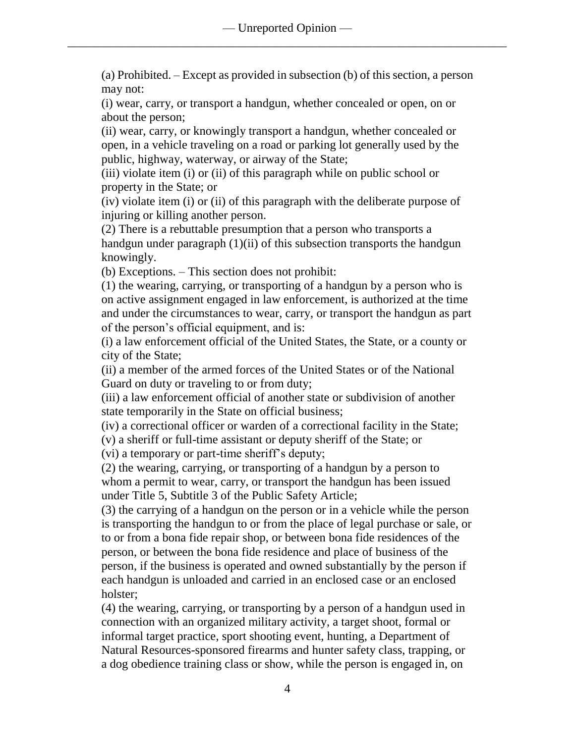(a) Prohibited. – Except as provided in subsection (b) of this section, a person may not:

(i) wear, carry, or transport a handgun, whether concealed or open, on or about the person;

(ii) wear, carry, or knowingly transport a handgun, whether concealed or open, in a vehicle traveling on a road or parking lot generally used by the public, highway, waterway, or airway of the State;

(iii) violate item (i) or (ii) of this paragraph while on public school or property in the State; or

(iv) violate item (i) or (ii) of this paragraph with the deliberate purpose of injuring or killing another person.

(2) There is a rebuttable presumption that a person who transports a handgun under paragraph (1)(ii) of this subsection transports the handgun knowingly.

(b) Exceptions. – This section does not prohibit:

(1) the wearing, carrying, or transporting of a handgun by a person who is on active assignment engaged in law enforcement, is authorized at the time and under the circumstances to wear, carry, or transport the handgun as part of the person's official equipment, and is:

(i) a law enforcement official of the United States, the State, or a county or city of the State;

(ii) a member of the armed forces of the United States or of the National Guard on duty or traveling to or from duty;

(iii) a law enforcement official of another state or subdivision of another state temporarily in the State on official business;

(iv) a correctional officer or warden of a correctional facility in the State;

(v) a sheriff or full-time assistant or deputy sheriff of the State; or

(vi) a temporary or part-time sheriff's deputy;

(2) the wearing, carrying, or transporting of a handgun by a person to whom a permit to wear, carry, or transport the handgun has been issued under Title 5, Subtitle 3 of the Public Safety Article;

(3) the carrying of a handgun on the person or in a vehicle while the person is transporting the handgun to or from the place of legal purchase or sale, or to or from a bona fide repair shop, or between bona fide residences of the person, or between the bona fide residence and place of business of the person, if the business is operated and owned substantially by the person if each handgun is unloaded and carried in an enclosed case or an enclosed holster;

(4) the wearing, carrying, or transporting by a person of a handgun used in connection with an organized military activity, a target shoot, formal or informal target practice, sport shooting event, hunting, a Department of Natural Resources-sponsored firearms and hunter safety class, trapping, or a dog obedience training class or show, while the person is engaged in, on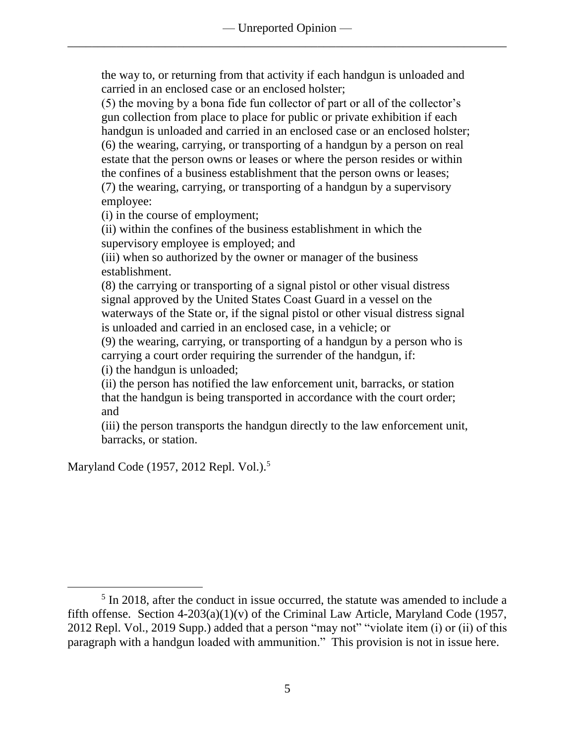the way to, or returning from that activity if each handgun is unloaded and carried in an enclosed case or an enclosed holster;

(5) the moving by a bona fide fun collector of part or all of the collector's gun collection from place to place for public or private exhibition if each handgun is unloaded and carried in an enclosed case or an enclosed holster; (6) the wearing, carrying, or transporting of a handgun by a person on real estate that the person owns or leases or where the person resides or within the confines of a business establishment that the person owns or leases; (7) the wearing, carrying, or transporting of a handgun by a supervisory employee:

(i) in the course of employment;

(ii) within the confines of the business establishment in which the supervisory employee is employed; and

(iii) when so authorized by the owner or manager of the business establishment.

(8) the carrying or transporting of a signal pistol or other visual distress signal approved by the United States Coast Guard in a vessel on the waterways of the State or, if the signal pistol or other visual distress signal is unloaded and carried in an enclosed case, in a vehicle; or

(9) the wearing, carrying, or transporting of a handgun by a person who is carrying a court order requiring the surrender of the handgun, if:

(i) the handgun is unloaded;

(ii) the person has notified the law enforcement unit, barracks, or station that the handgun is being transported in accordance with the court order; and

(iii) the person transports the handgun directly to the law enforcement unit, barracks, or station.

Maryland Code (1957, 2012 Repl. Vol.).<sup>5</sup>

<sup>&</sup>lt;sup>5</sup> In 2018, after the conduct in issue occurred, the statute was amended to include a fifth offense. Section  $4-203(a)(1)(v)$  of the Criminal Law Article, Maryland Code (1957, 2012 Repl. Vol., 2019 Supp.) added that a person "may not" "violate item (i) or (ii) of this paragraph with a handgun loaded with ammunition." This provision is not in issue here.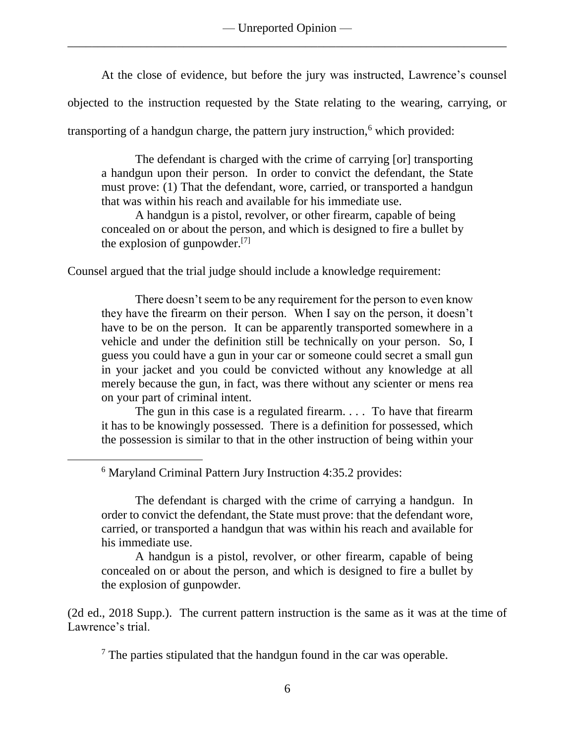— Unreported Opinion — \_\_\_\_\_\_\_\_\_\_\_\_\_\_\_\_\_\_\_\_\_\_\_\_\_\_\_\_\_\_\_\_\_\_\_\_\_\_\_\_\_\_\_\_\_\_\_\_\_\_\_\_\_\_\_\_\_\_\_\_\_\_\_\_\_\_\_\_\_\_\_\_

At the close of evidence, but before the jury was instructed, Lawrence's counsel

objected to the instruction requested by the State relating to the wearing, carrying, or

transporting of a handgun charge, the pattern jury instruction, $<sup>6</sup>$  which provided:</sup>

The defendant is charged with the crime of carrying [or] transporting a handgun upon their person. In order to convict the defendant, the State must prove: (1) That the defendant, wore, carried, or transported a handgun that was within his reach and available for his immediate use.

A handgun is a pistol, revolver, or other firearm, capable of being concealed on or about the person, and which is designed to fire a bullet by the explosion of gunpowder.[7]

Counsel argued that the trial judge should include a knowledge requirement:

There doesn't seem to be any requirement for the person to even know they have the firearm on their person. When I say on the person, it doesn't have to be on the person. It can be apparently transported somewhere in a vehicle and under the definition still be technically on your person. So, I guess you could have a gun in your car or someone could secret a small gun in your jacket and you could be convicted without any knowledge at all merely because the gun, in fact, was there without any scienter or mens rea on your part of criminal intent.

The gun in this case is a regulated firearm. . . . To have that firearm it has to be knowingly possessed. There is a definition for possessed, which the possession is similar to that in the other instruction of being within your

<sup>6</sup> Maryland Criminal Pattern Jury Instruction 4:35.2 provides:

 $\overline{a}$ 

The defendant is charged with the crime of carrying a handgun. In order to convict the defendant, the State must prove: that the defendant wore, carried, or transported a handgun that was within his reach and available for his immediate use.

A handgun is a pistol, revolver, or other firearm, capable of being concealed on or about the person, and which is designed to fire a bullet by the explosion of gunpowder.

(2d ed., 2018 Supp.). The current pattern instruction is the same as it was at the time of Lawrence's trial.

 $<sup>7</sup>$  The parties stipulated that the handgun found in the car was operable.</sup>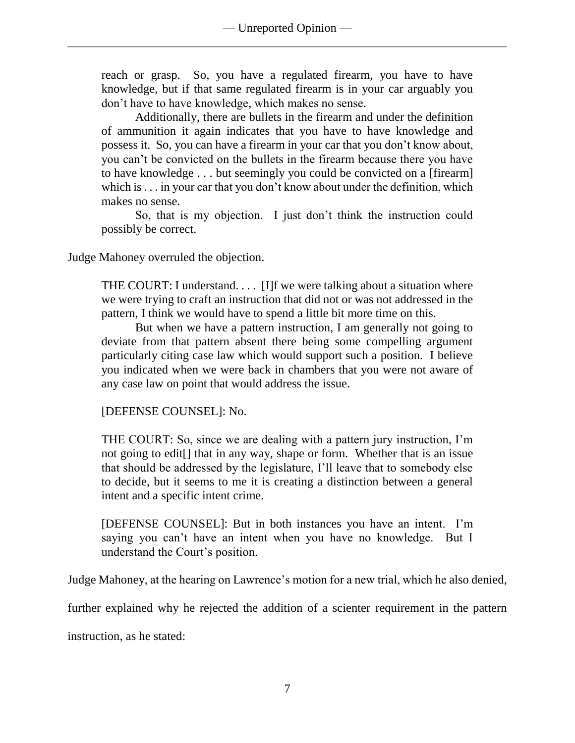reach or grasp. So, you have a regulated firearm, you have to have knowledge, but if that same regulated firearm is in your car arguably you don't have to have knowledge, which makes no sense.

Additionally, there are bullets in the firearm and under the definition of ammunition it again indicates that you have to have knowledge and possess it. So, you can have a firearm in your car that you don't know about, you can't be convicted on the bullets in the firearm because there you have to have knowledge . . . but seemingly you could be convicted on a [firearm] which is . . . in your car that you don't know about under the definition, which makes no sense.

So, that is my objection. I just don't think the instruction could possibly be correct.

Judge Mahoney overruled the objection.

THE COURT: I understand.... [I]f we were talking about a situation where we were trying to craft an instruction that did not or was not addressed in the pattern, I think we would have to spend a little bit more time on this.

But when we have a pattern instruction, I am generally not going to deviate from that pattern absent there being some compelling argument particularly citing case law which would support such a position. I believe you indicated when we were back in chambers that you were not aware of any case law on point that would address the issue.

[DEFENSE COUNSEL]: No.

THE COURT: So, since we are dealing with a pattern jury instruction, I'm not going to edit[] that in any way, shape or form. Whether that is an issue that should be addressed by the legislature, I'll leave that to somebody else to decide, but it seems to me it is creating a distinction between a general intent and a specific intent crime.

[DEFENSE COUNSEL]: But in both instances you have an intent. I'm saying you can't have an intent when you have no knowledge. But I understand the Court's position.

Judge Mahoney, at the hearing on Lawrence's motion for a new trial, which he also denied,

further explained why he rejected the addition of a scienter requirement in the pattern

instruction, as he stated: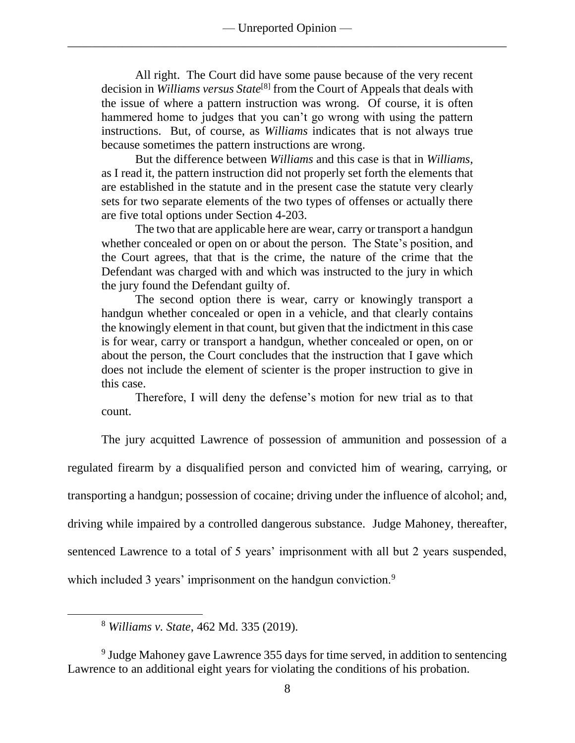All right. The Court did have some pause because of the very recent decision in *Williams versus State*[8] from the Court of Appeals that deals with the issue of where a pattern instruction was wrong. Of course, it is often hammered home to judges that you can't go wrong with using the pattern instructions. But, of course, as *Williams* indicates that is not always true because sometimes the pattern instructions are wrong.

But the difference between *Williams* and this case is that in *Williams*, as I read it, the pattern instruction did not properly set forth the elements that are established in the statute and in the present case the statute very clearly sets for two separate elements of the two types of offenses or actually there are five total options under Section 4-203.

The two that are applicable here are wear, carry or transport a handgun whether concealed or open on or about the person. The State's position, and the Court agrees, that that is the crime, the nature of the crime that the Defendant was charged with and which was instructed to the jury in which the jury found the Defendant guilty of.

The second option there is wear, carry or knowingly transport a handgun whether concealed or open in a vehicle, and that clearly contains the knowingly element in that count, but given that the indictment in this case is for wear, carry or transport a handgun, whether concealed or open, on or about the person, the Court concludes that the instruction that I gave which does not include the element of scienter is the proper instruction to give in this case.

Therefore, I will deny the defense's motion for new trial as to that count.

The jury acquitted Lawrence of possession of ammunition and possession of a regulated firearm by a disqualified person and convicted him of wearing, carrying, or transporting a handgun; possession of cocaine; driving under the influence of alcohol; and, driving while impaired by a controlled dangerous substance. Judge Mahoney, thereafter, sentenced Lawrence to a total of 5 years' imprisonment with all but 2 years suspended, which included 3 years' imprisonment on the handgun conviction.<sup>9</sup>

<sup>8</sup> *Williams v. State*, 462 Md. 335 (2019).

 $\overline{a}$ 

<sup>9</sup> Judge Mahoney gave Lawrence 355 days for time served, in addition to sentencing Lawrence to an additional eight years for violating the conditions of his probation.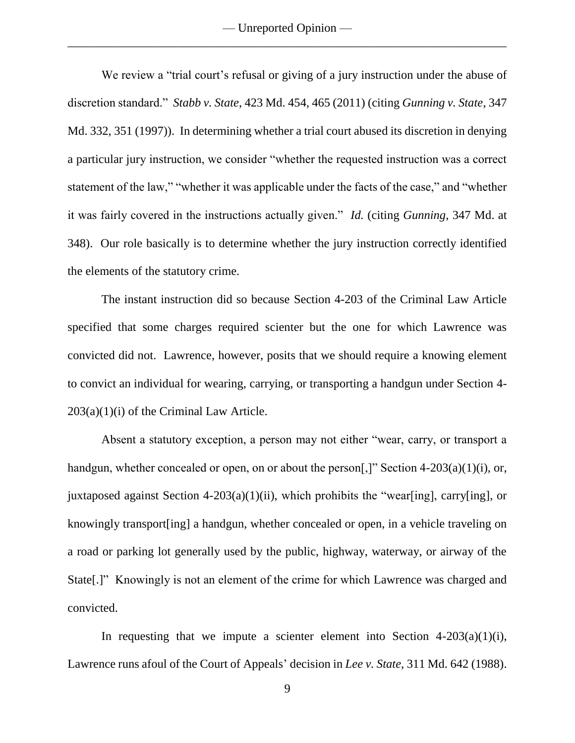— Unreported Opinion — \_\_\_\_\_\_\_\_\_\_\_\_\_\_\_\_\_\_\_\_\_\_\_\_\_\_\_\_\_\_\_\_\_\_\_\_\_\_\_\_\_\_\_\_\_\_\_\_\_\_\_\_\_\_\_\_\_\_\_\_\_\_\_\_\_\_\_\_\_\_\_\_

We review a "trial court's refusal or giving of a jury instruction under the abuse of discretion standard." *Stabb v. State*, 423 Md. 454, 465 (2011) (citing *Gunning v. State*, 347 Md. 332, 351 (1997)). In determining whether a trial court abused its discretion in denying a particular jury instruction, we consider "whether the requested instruction was a correct statement of the law," "whether it was applicable under the facts of the case," and "whether it was fairly covered in the instructions actually given." *Id.* (citing *Gunning*, 347 Md. at 348). Our role basically is to determine whether the jury instruction correctly identified the elements of the statutory crime.

The instant instruction did so because Section 4-203 of the Criminal Law Article specified that some charges required scienter but the one for which Lawrence was convicted did not. Lawrence, however, posits that we should require a knowing element to convict an individual for wearing, carrying, or transporting a handgun under Section 4-  $203(a)(1)(i)$  of the Criminal Law Article.

Absent a statutory exception, a person may not either "wear, carry, or transport a handgun, whether concealed or open, on or about the person[,]" Section 4-203(a)(1)(i), or, juxtaposed against Section 4-203(a)(1)(ii), which prohibits the "wear[ing], carry[ing], or knowingly transport[ing] a handgun, whether concealed or open, in a vehicle traveling on a road or parking lot generally used by the public, highway, waterway, or airway of the State[.]" Knowingly is not an element of the crime for which Lawrence was charged and convicted.

In requesting that we impute a scienter element into Section  $4-203(a)(1)(i)$ , Lawrence runs afoul of the Court of Appeals' decision in *Lee v. State*, 311 Md. 642 (1988).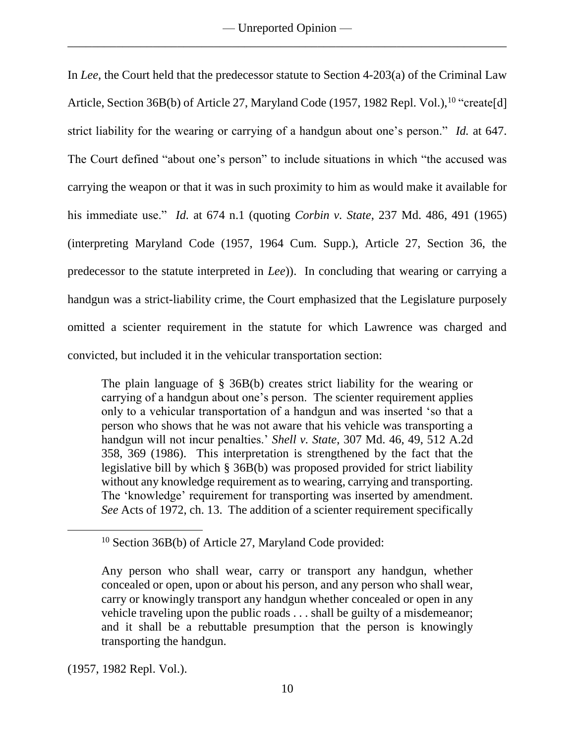In *Lee*, the Court held that the predecessor statute to Section 4-203(a) of the Criminal Law Article, Section 36B(b) of Article 27, Maryland Code (1957, 1982 Repl. Vol.), <sup>10</sup> "create[d] strict liability for the wearing or carrying of a handgun about one's person." *Id.* at 647. The Court defined "about one's person" to include situations in which "the accused was carrying the weapon or that it was in such proximity to him as would make it available for his immediate use." *Id.* at 674 n.1 (quoting *Corbin v. State*, 237 Md. 486, 491 (1965) (interpreting Maryland Code (1957, 1964 Cum. Supp.), Article 27, Section 36, the predecessor to the statute interpreted in *Lee*)). In concluding that wearing or carrying a handgun was a strict-liability crime, the Court emphasized that the Legislature purposely omitted a scienter requirement in the statute for which Lawrence was charged and convicted, but included it in the vehicular transportation section:

The plain language of § 36B(b) creates strict liability for the wearing or carrying of a handgun about one's person. The scienter requirement applies only to a vehicular transportation of a handgun and was inserted 'so that a person who shows that he was not aware that his vehicle was transporting a handgun will not incur penalties.' *Shell v. State*, 307 Md. 46, 49, 512 A.2d 358, 369 (1986). This interpretation is strengthened by the fact that the legislative bill by which § 36B(b) was proposed provided for strict liability without any knowledge requirement as to wearing, carrying and transporting. The 'knowledge' requirement for transporting was inserted by amendment. *See* Acts of 1972, ch. 13. The addition of a scienter requirement specifically

(1957, 1982 Repl. Vol.).

<sup>10</sup> Section 36B(b) of Article 27, Maryland Code provided:

Any person who shall wear, carry or transport any handgun, whether concealed or open, upon or about his person, and any person who shall wear, carry or knowingly transport any handgun whether concealed or open in any vehicle traveling upon the public roads . . . shall be guilty of a misdemeanor; and it shall be a rebuttable presumption that the person is knowingly transporting the handgun.